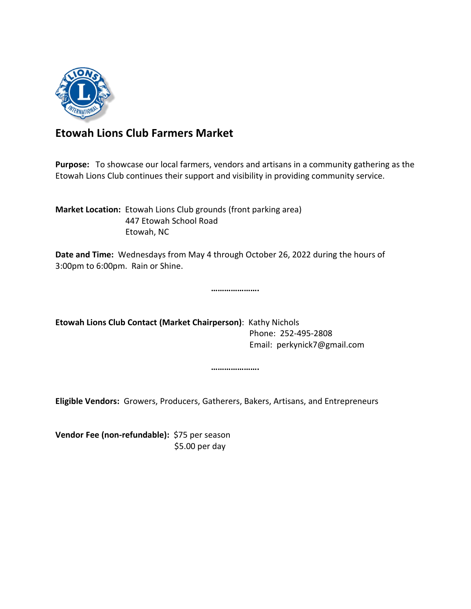

## **Etowah Lions Club Farmers Market**

**Purpose:** To showcase our local farmers, vendors and artisans in a community gathering as the Etowah Lions Club continues their support and visibility in providing community service.

**Market Location:** Etowah Lions Club grounds (front parking area) 447 Etowah School Road Etowah, NC

**Date and Time:** Wednesdays from May 4 through October 26, 2022 during the hours of 3:00pm to 6:00pm. Rain or Shine.

**………………….**

**Etowah Lions Club Contact (Market Chairperson)**: Kathy Nichols Phone: 252-495-2808 Email: perkynick7@gmail.com

**………………….**

**Eligible Vendors:** Growers, Producers, Gatherers, Bakers, Artisans, and Entrepreneurs

**Vendor Fee (non-refundable):** \$75 per season \$5.00 per day